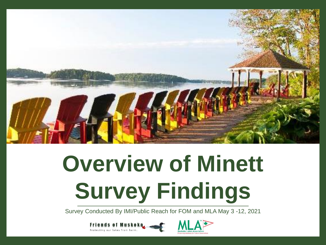

# **Overview of Minett Survey Findings**

Survey Conducted By IMI/Public Reach for FOM and MLA May 3 -12, 2021



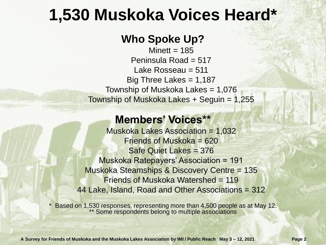### **1,530 Muskoka Voices Heard\***

#### **Who Spoke Up?**

Minett  $= 185$ Peninsula Road  $= 517$ Lake Rosseau = 511 Big Three Lakes =  $1,187$ Township of Muskoka Lakes  $= 1,076$ Township of Muskoka Lakes + Seguin =  $1,255$ 

#### **Members' Voices\*\***

Muskoka Lakes Association = 1,032 Friends of Muskoka = 620 Safe Quiet Lakes = 376 Muskoka Ratepayers' Association = 191 Muskoka Steamships & Discovery Centre = 135 Friends of Muskoka Watershed = 119 44 Lake, Island, Road and Other Associations = 312

Based on 1,530 responses, representing more than 4,500 people as at May 12. Some respondents belong to multiple associations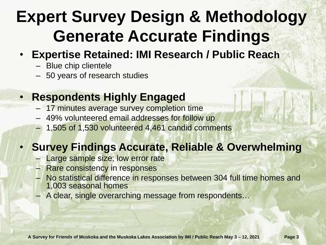# **Expert Survey Design & Methodology Generate Accurate Findings**

- **Expertise Retained: IMI Research / Public Reach**
	- Blue chip clientele
	- 50 years of research studies

#### • **Respondents Highly Engaged**

- 17 minutes average survey completion time
- 49% volunteered email addresses for follow up
- 1,505 of 1,530 volunteered 4,461 candid comments

#### • **Survey Findings Accurate, Reliable & Overwhelming**

- Large sample size; low error rate
- Rare consistency in responses
- No statistical difference in responses between 304 full time homes and 1,003 seasonal homes
- A clear, single overarching message from respondents…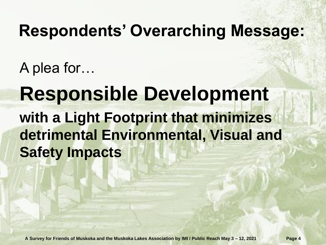### **Respondents' Overarching Message:**

A plea for…

## **Responsible Development with a Light Footprint that minimizes detrimental Environmental, Visual and Safety Impacts**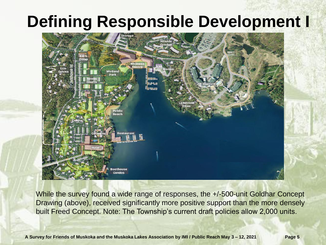### **Defining Responsible Development I**



While the survey found a wide range of responses, the  $+/-500$ -unit Goldhar Concept Drawing (above), received significantly more positive support than the more densely built Freed Concept. Note: The Township's current draft policies allow 2,000 units.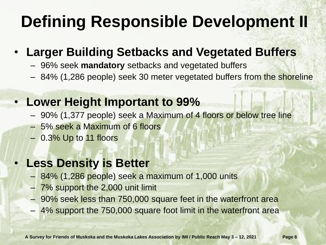# **Defining Responsible Development II**

#### • **Larger Building Setbacks and Vegetated Buffers**

- 96% seek **mandatory** setbacks and vegetated buffers
- 84% (1,286 people) seek 30 meter vegetated buffers from the shoreline

#### • **Lower Height Important to 99%**

- 90% (1,377 people) seek a Maximum of 4 floors or below tree line
- 5% seek a Maximum of 6 floors
- 0.3% Up to 11 floors

#### **Less Density is Better**

- 84% (1,286 people) seek a maximum of 1,000 units
- 7% support the 2,000 unit limit
- 90% seek less than 750,000 square feet in the waterfront area
- 4% support the 750,000 square foot limit in the waterfront area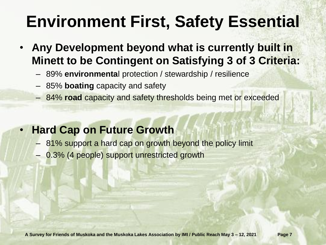# **Environment First, Safety Essential**

- **Any Development beyond what is currently built in Minett to be Contingent on Satisfying 3 of 3 Criteria:**
	- 89% **environmenta**l protection / stewardship / resilience
	- 85% **boating** capacity and safety
	- 84% **road** capacity and safety thresholds being met or exceeded

#### • **Hard Cap on Future Growth**

- 81% support a hard cap on growth beyond the policy limit
- 0.3% (4 people) support unrestricted growth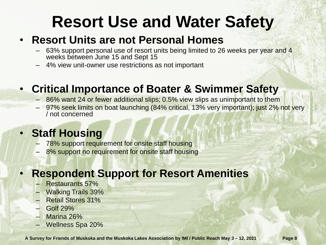### **Resort Use and Water Safety**

#### • **Resort Units are not Personal Homes**

- 63% support personal use of resort units being limited to 26 weeks per year and 4 weeks between June 15 and Sept 15
- 4% view unit-owner use restrictions as not important

#### • **Critical Importance of Boater & Swimmer Safety**

- 86% want 24 or fewer additional slips; 0.5% view slips as unimportant to them
- 97% seek limits on boat launching (84% critical, 13% very important); just 2% not very / not concerned

#### • **Staff Housing**

- 78% support requirement for onsite staff housing
- 8% support no requirement for onsite staff housing

#### • **Respondent Support for Resort Amenities**

- Restaurants 57%
- Walking Trails 39%
- Retail Stores 31%
- Golf 29%
- Marina 26%
- Wellness Spa 20%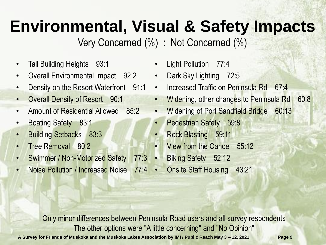# **Environmental, Visual & Safety Impacts**

Very Concerned (%) : Not Concerned (%)

- Tall Building Heights 93:1
- Overall Environmental Impact 92:2
- Density on the Resort Waterfront 91:1
- Overall Density of Resort 90:1
- Amount of Residential Allowed 85:2
- Boating Safety 83:1
- Building Setbacks 83:3
- Tree Removal 80<sup>.</sup>2
- Swimmer / Non-Motorized Safety 77:3
- Noise Pollution / Increased Noise 77:4
- Light Pollution 77:4
- Dark Sky Lighting 72:5
- Increased Traffic on Peninsula Rd 67:4
- Widening, other changes to Peninsula Rd 60:8
- Widening of Port Sandfield Bridge 60:13
- Pedestrian Safety 59:8
- Rock Blasting 59:11
- View from the Canoe 55:12
- Biking Safety 52:12
- Onsite Staff Housing 43:21

Only minor differences between Peninsula Road users and all survey respondents The other options were "A little concerning" and "No Opinion"

**A Survey for Friends of Muskoka and the Muskoka Lakes Association by IMI / Public Reach May 3 – 12, 2021 Page 9**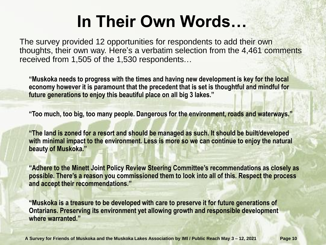## **In Their Own Words…**

The survey provided 12 opportunities for respondents to add their own thoughts, their own way. Here's a verbatim selection from the 4,461 comments received from 1,505 of the 1,530 respondents…

**"Muskoka needs to progress with the times and having new development is key for the local economy however it is paramount that the precedent that is set is thoughtful and mindful for future generations to enjoy this beautiful place on all big 3 lakes."**

**"Too much, too big, too many people. Dangerous for the environment, roads and waterways."**

**"The land is zoned for a resort and should be managed as such. It should be built/developed with minimal impact to the environment. Less is more so we can continue to enjoy the natural beauty of Muskoka."**

**"Adhere to the Minett Joint Policy Review Steering Committee's recommendations as closely as possible. There's a reason you commissioned them to look into all of this. Respect the process and accept their recommendations."**

**"Muskoka is a treasure to be developed with care to preserve it for future generations of Ontarians. Preserving its environment yet allowing growth and responsible development where warranted."**